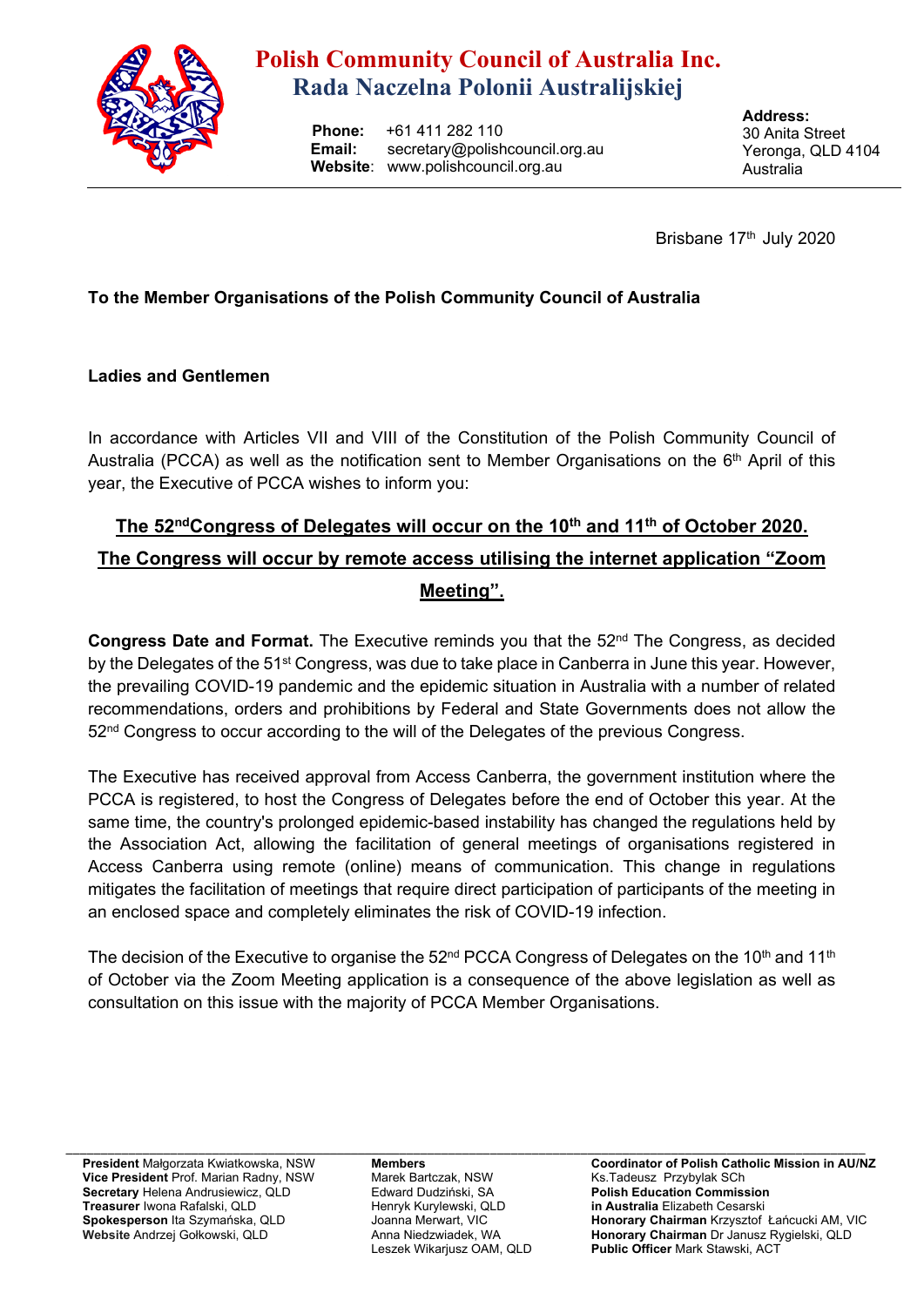

# **Polish Community Council of Australia Inc. Rada Naczelna Polonii Australijskiej**

 **Phone:** +61 411 282 110  **Email:** secretary@polishcouncil.org.au  **Website**: www.polishcouncil.org.au

**Address:**  30 Anita Street Yeronga, QLD 4104 Australia

Brisbane 17<sup>th</sup> July 2020

### **To the Member Organisations of the Polish Community Council of Australia**

#### **Ladies and Gentlemen**

In accordance with Articles VII and VIII of the Constitution of the Polish Community Council of Australia (PCCA) as well as the notification sent to Member Organisations on the  $6<sup>th</sup>$  April of this year, the Executive of PCCA wishes to inform you:

## The 52<sup>nd</sup>Congress of Delegates will occur on the 10<sup>th</sup> and 11<sup>th</sup> of October 2020. **The Congress will occur by remote access utilising the internet application "Zoom Meeting".**

**Congress Date and Format.** The Executive reminds you that the 52<sup>nd</sup> The Congress, as decided by the Delegates of the 51<sup>st</sup> Congress, was due to take place in Canberra in June this year. However, the prevailing COVID-19 pandemic and the epidemic situation in Australia with a number of related recommendations, orders and prohibitions by Federal and State Governments does not allow the  $52<sup>nd</sup>$  Congress to occur according to the will of the Delegates of the previous Congress.

The Executive has received approval from Access Canberra, the government institution where the PCCA is registered, to host the Congress of Delegates before the end of October this year. At the same time, the country's prolonged epidemic-based instability has changed the regulations held by the Association Act, allowing the facilitation of general meetings of organisations registered in Access Canberra using remote (online) means of communication. This change in regulations mitigates the facilitation of meetings that require direct participation of participants of the meeting in an enclosed space and completely eliminates the risk of COVID-19 infection.

The decision of the Executive to organise the  $52<sup>nd</sup> PCCA Congress$  of Delegates on the 10<sup>th</sup> and 11<sup>th</sup> of October via the Zoom Meeting application is a consequence of the above legislation as well as consultation on this issue with the majority of PCCA Member Organisations.

\_\_\_\_\_\_\_\_\_\_\_\_\_\_\_\_\_\_\_\_\_\_\_\_\_\_\_\_\_\_\_\_\_\_\_\_\_\_\_\_\_\_\_\_\_\_\_\_\_\_\_\_\_\_\_\_\_\_\_\_\_\_\_\_\_\_\_\_\_\_\_\_\_\_\_\_\_\_\_\_\_\_\_\_\_\_\_\_\_\_\_\_\_\_\_\_\_\_\_\_\_\_\_\_\_\_\_\_\_\_\_\_\_\_\_ **President** Małgorzata Kwiatkowska, NSW **Vice President** Prof. Marian Radny, NSW **Secretary** Helena Andrusiewicz, QLD **Treasurer** Iwona Rafalski, QLD **Spokesperson** Ita Szymańska, QLD **Website** Andrzej Gołkowski, QLD

**Members**  Marek Bartczak, NSW Edward Dudziński, SA Henryk Kurylewski, QLD Joanna Merwart, VIC Anna Niedzwiadek, WA Leszek Wikarjusz OAM, QLD

**Coordinator of Polish Catholic Mission in AU/NZ**  Ks.Tadeusz Przybylak SCh **Polish Education Commission in Australia** Elizabeth Cesarski **Honorary Chairman** Krzysztof Łańcucki AM, VIC **Honorary Chairman** Dr Janusz Rygielski, QLD **Public Officer** Mark Stawski, ACT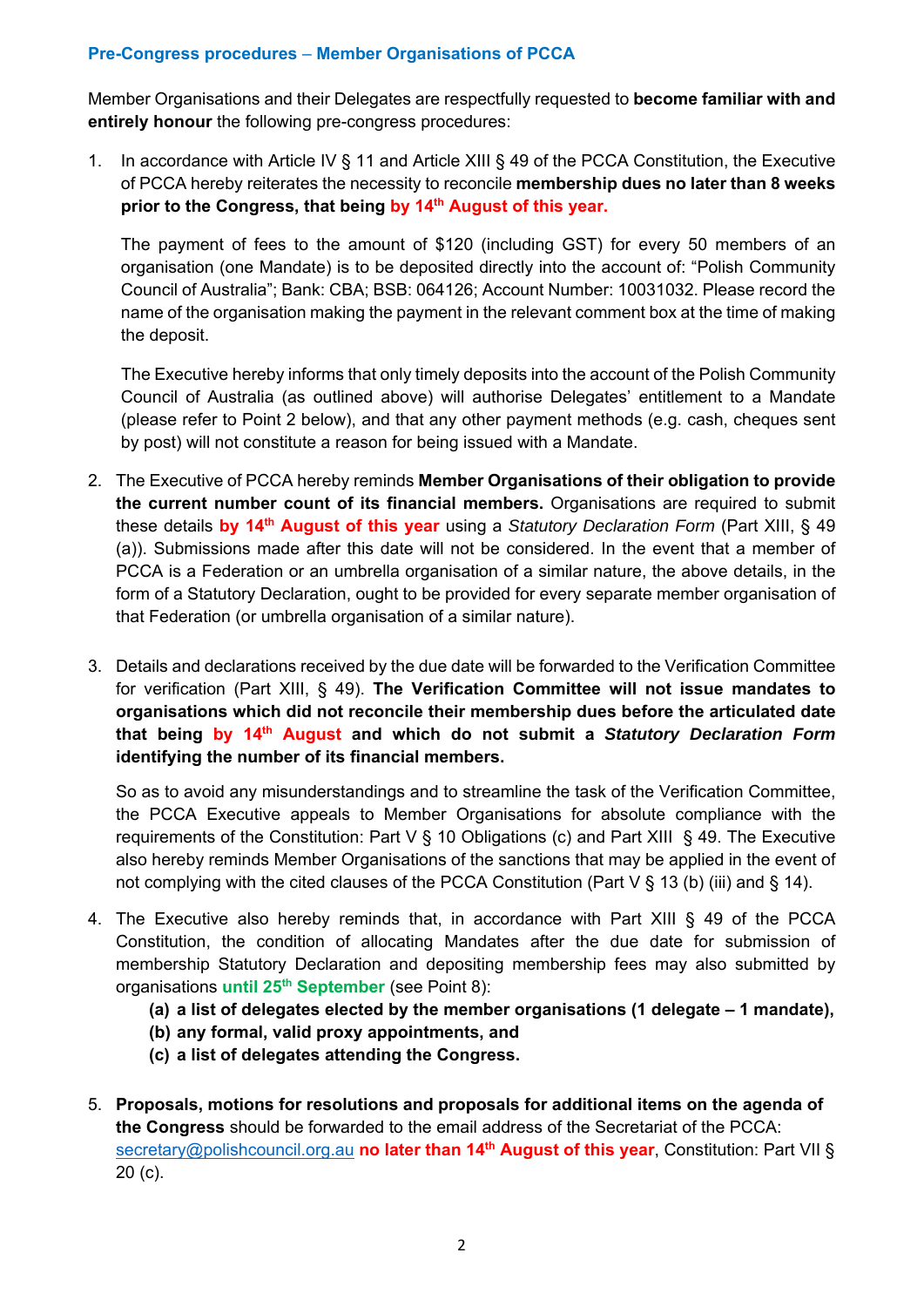#### **Pre-Congress procedures** – **Member Organisations of PCCA**

Member Organisations and their Delegates are respectfully requested to **become familiar with and entirely honour** the following pre-congress procedures:

1. In accordance with Article IV § 11 and Article XIII § 49 of the PCCA Constitution, the Executive of PCCA hereby reiterates the necessity to reconcile **membership dues no later than 8 weeks prior to the Congress, that being by 14th August of this year.**

The payment of fees to the amount of \$120 (including GST) for every 50 members of an organisation (one Mandate) is to be deposited directly into the account of: "Polish Community Council of Australia"; Bank: CBA; BSB: 064126; Account Number: 10031032. Please record the name of the organisation making the payment in the relevant comment box at the time of making the deposit.

 The Executive hereby informs that only timely deposits into the account of the Polish Community Council of Australia (as outlined above) will authorise Delegates' entitlement to a Mandate (please refer to Point 2 below), and that any other payment methods (e.g. cash, cheques sent by post) will not constitute a reason for being issued with a Mandate.

- 2. The Executive of PCCA hereby reminds **Member Organisations of their obligation to provide the current number count of its financial members.** Organisations are required to submit these details **by 14th August of this year** using a *Statutory Declaration Form* (Part XIII, § 49 (a)). Submissions made after this date will not be considered. In the event that a member of PCCA is a Federation or an umbrella organisation of a similar nature, the above details, in the form of a Statutory Declaration, ought to be provided for every separate member organisation of that Federation (or umbrella organisation of a similar nature).
- 3. Details and declarations received by the due date will be forwarded to the Verification Committee for verification (Part XIII, § 49). **The Verification Committee will not issue mandates to organisations which did not reconcile their membership dues before the articulated date that being by 14th August and which do not submit a** *Statutory Declaration Form*  **identifying the number of its financial members.**

So as to avoid any misunderstandings and to streamline the task of the Verification Committee, the PCCA Executive appeals to Member Organisations for absolute compliance with the requirements of the Constitution: Part V § 10 Obligations (c) and Part XIII § 49. The Executive also hereby reminds Member Organisations of the sanctions that may be applied in the event of not complying with the cited clauses of the PCCA Constitution (Part V § 13 (b) (iii) and § 14).

- 4. The Executive also hereby reminds that, in accordance with Part XIII § 49 of the PCCA Constitution, the condition of allocating Mandates after the due date for submission of membership Statutory Declaration and depositing membership fees may also submitted by organisations **until 25th September** (see Point 8):
	- **(a) a list of delegates elected by the member organisations (1 delegate 1 mandate),**
	- **(b) any formal, valid proxy appointments, and**
	- **(c) a list of delegates attending the Congress.**
- 5. **Proposals, motions for resolutions and proposals for additional items on the agenda of the Congress** should be forwarded to the email address of the Secretariat of the PCCA: secretary@polishcouncil.org.au no later than 14<sup>th</sup> August of this year, Constitution: Part VII § 20 (c).